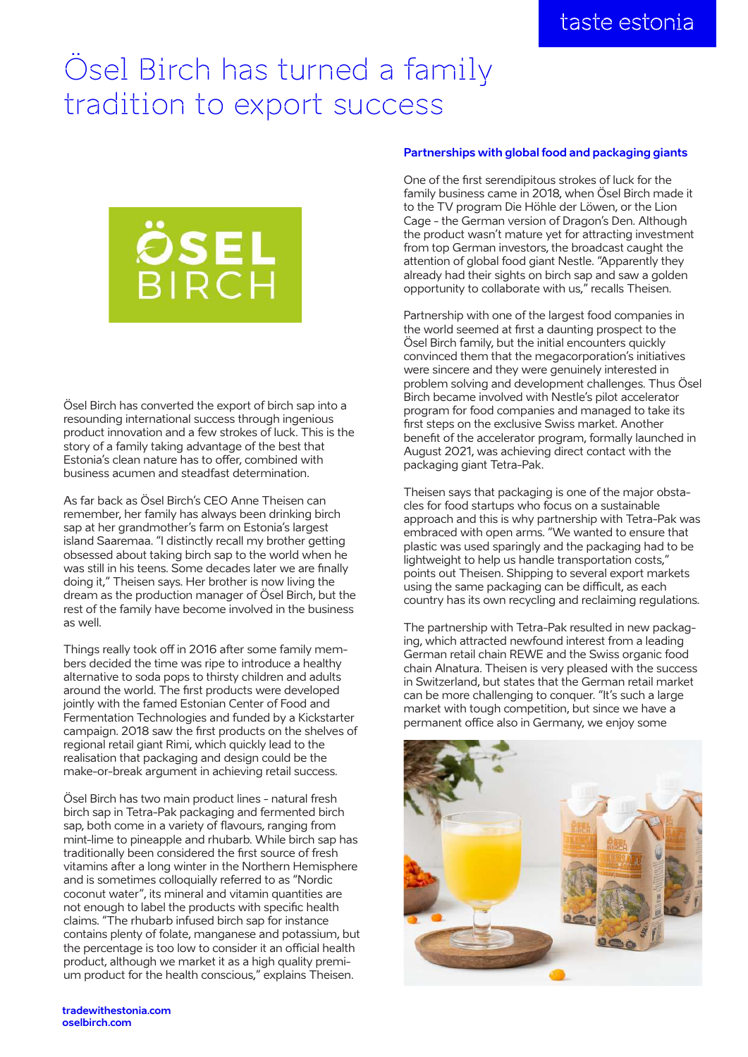## Ösel Birch has turned a family tradition to export success



Ösel Birch has converted the export of birch sap into a resounding international success through ingenious product innovation and a few strokes of luck. This is the story of a family taking advantage of the best that Estonia's clean nature has to offer, combined with business acumen and steadfast determination.

As far back as Ösel Birch's CEO Anne Theisen can remember, her family has always been drinking birch sap at her grandmother's farm on Estonia's largest island Saaremaa. "I distinctly recall my brother getting obsessed about taking birch sap to the world when he was still in his teens. Some decades later we are finally doing it," Theisen says. Her brother is now living the dream as the production manager of Ösel Birch, but the rest of the family have become involved in the business as well.

Things really took off in 2016 after some family members decided the time was ripe to introduce a healthy alternative to soda pops to thirsty children and adults around the world. The first products were developed jointly with the famed Estonian Center of Food and Fermentation Technologies and funded by a Kickstarter campaign. 2018 saw the first products on the shelves of regional retail giant Rimi, which quickly lead to the realisation that packaging and design could be the make-or-break argument in achieving retail success.

Ösel Birch has two main product lines - natural fresh birch sap in Tetra-Pak packaging and fermented birch sap, both come in a variety of flavours, ranging from mint-lime to pineapple and rhubarb. While birch sap has traditionally been considered the first source of fresh vitamins after a long winter in the Northern Hemisphere and is sometimes colloquially referred to as "Nordic coconut water", its mineral and vitamin quantities are not enough to label the products with specific health claims. "The rhubarb infused birch sap for instance contains plenty of folate, manganese and potassium, but the percentage is too low to consider it an official health product, although we market it as a high quality premium product for the health conscious," explains Theisen.

## **Partnerships with global food and packaging giants**

One of the first serendipitous strokes of luck for the family business came in 2018, when Ösel Birch made it to the TV program Die Höhle der Löwen, or the Lion Cage - the German version of Dragon's Den. Although the product wasn't mature yet for attracting investment from top German investors, the broadcast caught the attention of global food giant Nestle. "Apparently they already had their sights on birch sap and saw a golden opportunity to collaborate with us," recalls Theisen.

Partnership with one of the largest food companies in the world seemed at first a daunting prospect to the Ösel Birch family, but the initial encounters quickly convinced them that the megacorporation's initiatives were sincere and they were genuinely interested in problem solving and development challenges. Thus Ösel Birch became involved with Nestle's pilot accelerator program for food companies and managed to take its first steps on the exclusive Swiss market. Another benefit of the accelerator program, formally launched in August 2021, was achieving direct contact with the packaging giant Tetra-Pak.

Theisen says that packaging is one of the major obstacles for food startups who focus on a sustainable approach and this is why partnership with Tetra-Pak was embraced with open arms. "We wanted to ensure that plastic was used sparingly and the packaging had to be lightweight to help us handle transportation costs," points out Theisen. Shipping to several export markets using the same packaging can be difficult, as each country has its own recycling and reclaiming regulations.

The partnership with Tetra-Pak resulted in new packaging, which attracted newfound interest from a leading German retail chain REWE and the Swiss organic food chain Alnatura. Theisen is very pleased with the success in Switzerland, but states that the German retail market can be more challenging to conquer. "It's such a large market with tough competition, but since we have a permanent office also in Germany, we enjoy some